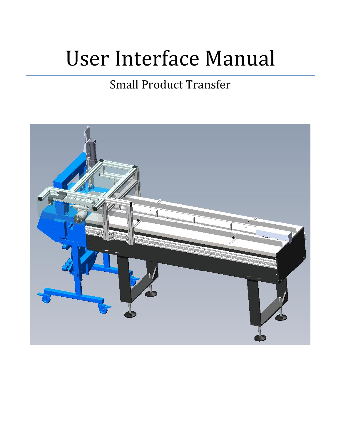# User Interface Manual

# Small Product Transfer

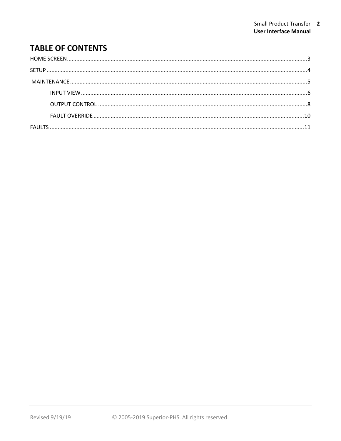# **TABLE OF CONTENTS**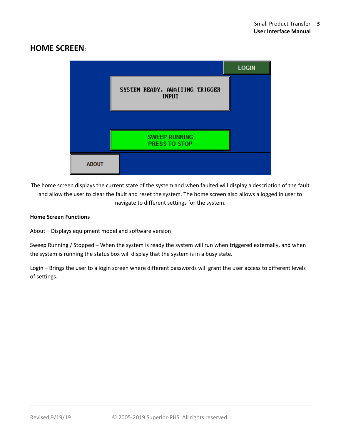# <span id="page-2-0"></span>**HOME SCREEN**:



The home screen displays the current state of the system and when faulted will display a description of the fault and allow the user to clear the fault and reset the system. The home screen also allows a logged in user to navigate to different settings for the system.

#### **Home Screen Functions**

About – Displays equipment model and software version

Sweep Running / Stopped – When the system is ready the system will run when triggered externally, and when the system is running the status box will display that the system is in a busy state.

Login – Brings the user to a login screen where different passwords will grant the user access to different levels of settings.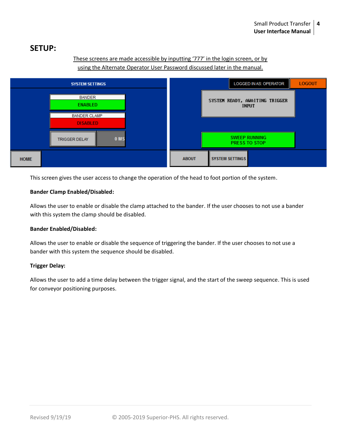# <span id="page-3-0"></span>**SETUP:**

#### These screens are made accessible by inputting '777' in the login screen, or by using the Alternate Operator User Password discussed later in the manual.



This screen gives the user access to change the operation of the head to foot portion of the system.

#### **Bander Clamp Enabled/Disabled:**

Allows the user to enable or disable the clamp attached to the bander. If the user chooses to not use a bander with this system the clamp should be disabled.

#### **Bander Enabled/Disabled:**

Allows the user to enable or disable the sequence of triggering the bander. If the user chooses to not use a bander with this system the sequence should be disabled.

#### **Trigger Delay:**

Allows the user to add a time delay between the trigger signal, and the start of the sweep sequence. This is used for conveyor positioning purposes.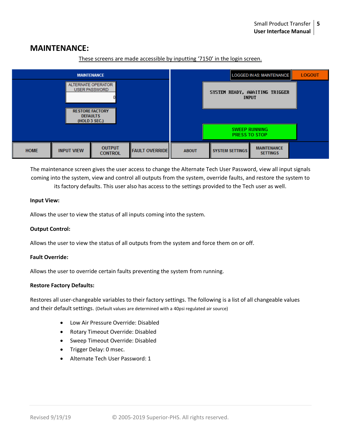## **MAINTENANCE:**



These screens are made accessible by inputting '7150' in the login screen.

The maintenance screen gives the user access to change the Alternate Tech User Password, view all input signals coming into the system, view and control all outputs from the system, override faults, and restore the system to its factory defaults. This user also has access to the settings provided to the Tech user as well.

#### **Input View:**

Allows the user to view the status of all inputs coming into the system.

#### **Output Control:**

Allows the user to view the status of all outputs from the system and force them on or off.

#### **Fault Override:**

Allows the user to override certain faults preventing the system from running.

#### **Restore Factory Defaults:**

Restores all user-changeable variables to their factory settings. The following is a list of all changeable values and their default settings. (Default values are determined with a 40psi regulated air source)

- Low Air Pressure Override: Disabled
- Rotary Timeout Override: Disabled
- Sweep Timeout Override: Disabled
- Trigger Delay: 0 msec.
- Alternate Tech User Password: 1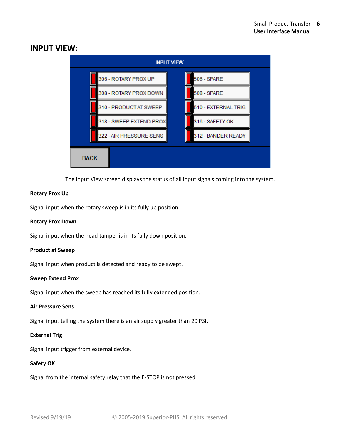

### <span id="page-5-0"></span>**INPUT VIEW:**

The Input View screen displays the status of all input signals coming into the system.

#### **Rotary Prox Up**

Signal input when the rotary sweep is in its fully up position.

#### **Rotary Prox Down**

Signal input when the head tamper is in its fully down position.

#### **Product at Sweep**

Signal input when product is detected and ready to be swept.

#### **Sweep Extend Prox**

Signal input when the sweep has reached its fully extended position.

#### **Air Pressure Sens**

Signal input telling the system there is an air supply greater than 20 PSI.

#### **External Trig**

Signal input trigger from external device.

#### **Safety OK**

Signal from the internal safety relay that the E-STOP is not pressed.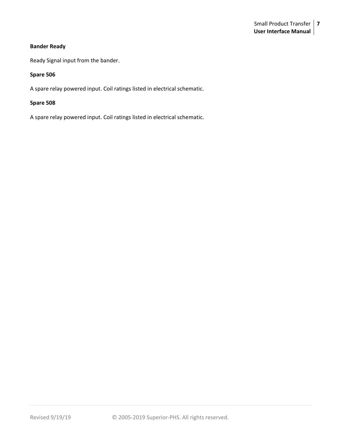#### **Bander Ready**

Ready Signal input from the bander.

#### **Spare 506**

A spare relay powered input. Coil ratings listed in electrical schematic.

#### **Spare 508**

A spare relay powered input. Coil ratings listed in electrical schematic.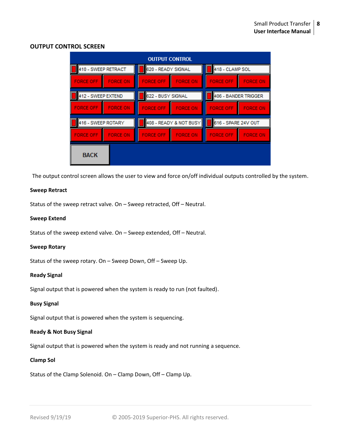#### <span id="page-7-0"></span>**OUTPUT CONTROL SCREEN**

| <b>OUTPUT CONTROL</b> |                 |                          |                 |                      |                 |  |  |
|-----------------------|-----------------|--------------------------|-----------------|----------------------|-----------------|--|--|
| 410 - SWEEP RETRACT   |                 | 620 - READY SIGNAL       |                 | 418 - CLAMP SOL      |                 |  |  |
| <b>FORCE OFF</b>      | <b>FORCE ON</b> | <b>FORCE OFF</b>         | <b>FORCE ON</b> | <b>FORCE OFF</b>     | <b>FORCE ON</b> |  |  |
| 412 - SWEEP EXTEND    |                 | 622 - BUSY SIGNAL        |                 | 406 - BANDER TRIGGER |                 |  |  |
| <b>FORCE OFF</b>      | <b>FORCE ON</b> | <b>FORCE OFF</b>         | <b>FORCE ON</b> | <b>FORCE OFF</b>     | <b>FORCE ON</b> |  |  |
| 416 - SWEEP ROTARY    |                 | 408 - READY & NOT BUSY I |                 | 616 - SPARE 24V OUT  |                 |  |  |
| <b>FORCE OFF</b>      | <b>FORCE ON</b> | <b>FORCE OFF</b>         | <b>FORCE ON</b> | <b>FORCE OFF</b>     | <b>FORCE ON</b> |  |  |
| <b>BACK</b>           |                 |                          |                 |                      |                 |  |  |

The output control screen allows the user to view and force on/off individual outputs controlled by the system.

#### <span id="page-7-1"></span>**Sweep Retract**

Status of the sweep retract valve. On – Sweep retracted, Off – Neutral.

#### **Sweep Extend**

Status of the sweep extend valve. On – Sweep extended, Off – Neutral.

#### **Sweep Rotary**

Status of the sweep rotary. On – Sweep Down, Off – Sweep Up.

#### **Ready Signal**

Signal output that is powered when the system is ready to run (not faulted).

#### **Busy Signal**

Signal output that is powered when the system is sequencing.

#### **Ready & Not Busy Signal**

Signal output that is powered when the system is ready and not running a sequence.

#### **Clamp Sol**

Status of the Clamp Solenoid. On – Clamp Down, Off – Clamp Up.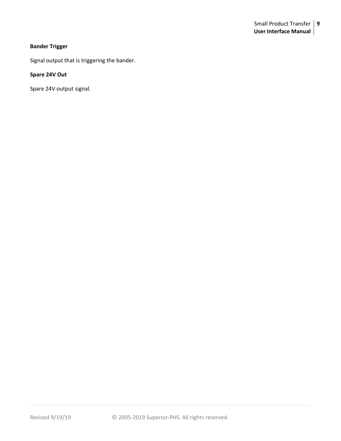#### **Bander Trigger**

Signal output that is triggering the bander.

#### **Spare 24V Out**

Spare 24V output signal.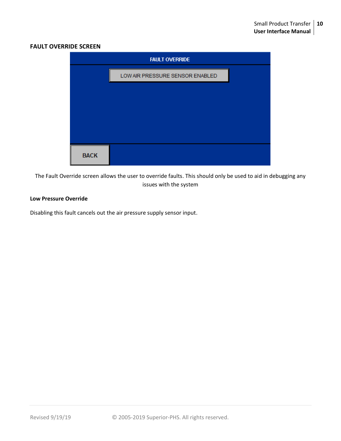#### **FAULT OVERRIDE SCREEN**

| <b>FAULT OVERRIDE</b> |                                 |  |  |  |  |
|-----------------------|---------------------------------|--|--|--|--|
|                       | LOW AIR PRESSURE SENSOR ENABLED |  |  |  |  |
|                       |                                 |  |  |  |  |
|                       |                                 |  |  |  |  |
|                       |                                 |  |  |  |  |
|                       |                                 |  |  |  |  |
| <b>BACK</b>           |                                 |  |  |  |  |

The Fault Override screen allows the user to override faults. This should only be used to aid in debugging any issues with the system

#### **Low Pressure Override**

Disabling this fault cancels out the air pressure supply sensor input.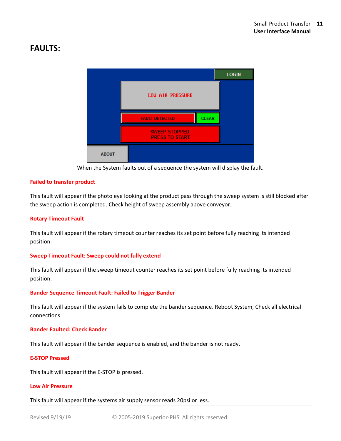# **FAULTS:**



When the System faults out of a sequence the system will display the fault.

#### **Failed to transfer product**

This fault will appear if the photo eye looking at the product pass through the sweep system is still blocked after the sweep action is completed. Check height of sweep assembly above conveyor.

#### **Rotary Timeout Fault**

This fault will appear if the rotary timeout counter reaches its set point before fully reaching its intended position.

#### **Sweep Timeout Fault: Sweep could not fully extend**

This fault will appear if the sweep timeout counter reaches its set point before fully reaching its intended position.

#### **Bander Sequence Timeout Fault: Failed to Trigger Bander**

This fault will appear if the system fails to complete the bander sequence. Reboot System, Check all electrical connections.

#### **Bander Faulted: Check Bander**

This fault will appear if the bander sequence is enabled, and the bander is not ready.

#### **E-STOP Pressed**

This fault will appear if the E-STOP is pressed.

#### **Low Air Pressure**

This fault will appear if the systems air supply sensor reads 20psi or less.